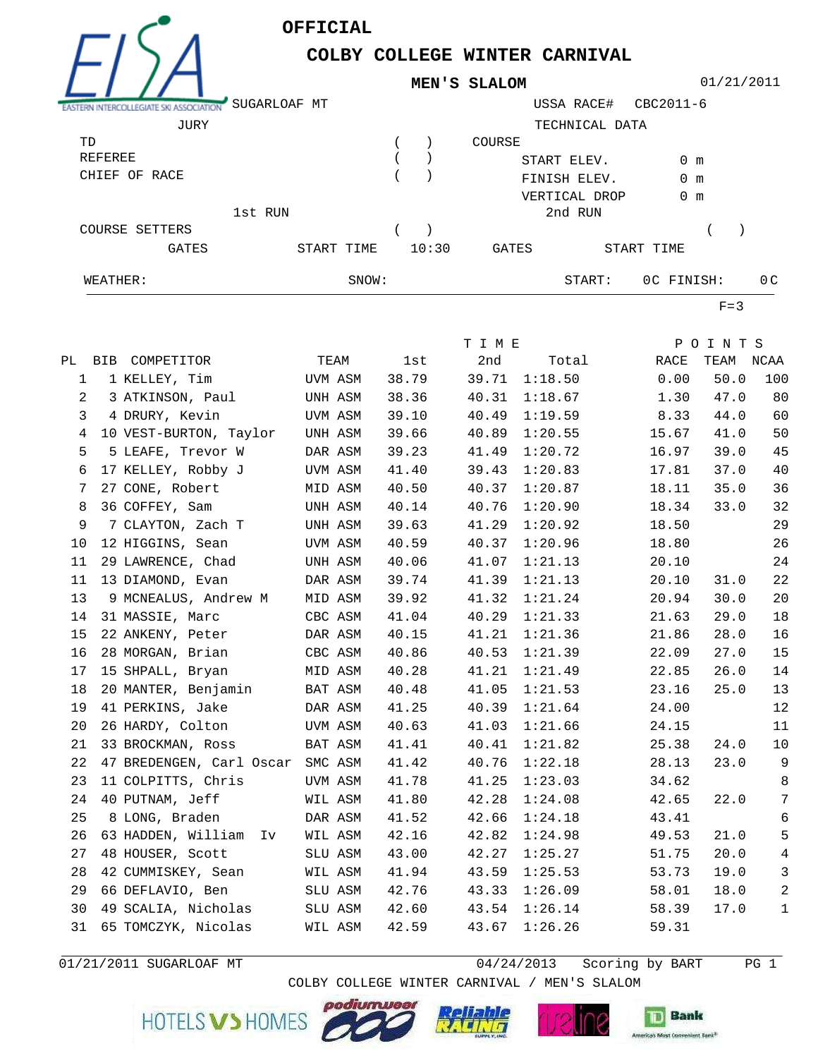**OFFICIAL**



## **COLBY COLLEGE WINTER CARNIVAL MEN'S SLALOM**

01/21/2011

| . .                   | SUGARLOAF MT |            |       |        | USSA RACE#     |            | CBC2011-6     |                |
|-----------------------|--------------|------------|-------|--------|----------------|------------|---------------|----------------|
| JURY                  |              |            |       |        | TECHNICAL DATA |            |               |                |
| TD                    |              |            |       | COURSE |                |            |               |                |
| REFEREE               |              |            |       |        | START ELEV.    |            | $0 \text{ m}$ |                |
| CHIEF OF RACE         |              |            |       |        | FINISH ELEV.   |            | $0 \text{ m}$ |                |
|                       |              |            |       |        | VERTICAL DROP  |            | $0 \text{ m}$ |                |
|                       | 1st RUN      |            |       |        | 2nd RUN        |            |               |                |
| <b>COURSE SETTERS</b> |              |            |       |        |                |            |               |                |
| <b>GATES</b>          |              | START TIME | 10:30 | GATES  |                | START TIME |               |                |
| WEATHER:              |              | SNOW:      |       |        | START:         |            | OC FINISH:    | 0 <sup>C</sup> |

 $F=3$ 

|                |                                  |         |       | T I M E |         |       | POINTS    |                 |
|----------------|----------------------------------|---------|-------|---------|---------|-------|-----------|-----------------|
|                | PL BIB COMPETITOR                | TEAM    | lst   | 2nd     | Total   | RACE  | TEAM NCAA |                 |
| $\mathbf 1$    | 1 KELLEY, Tim                    | UVM ASM | 38.79 | 39.71   | 1:18.50 | 0.00  | 50.0      | 100             |
| $\overline{a}$ | 3 ATKINSON, Paul                 | UNH ASM | 38.36 | 40.31   | 1:18.67 | 1.30  | 47.0      | 80              |
| 3              | 4 DRURY, Kevin                   | UVM ASM | 39.10 | 40.49   | 1:19.59 | 8.33  | 44.0      | 60              |
| 4              | 10 VEST-BURTON, Taylor           | UNH ASM | 39.66 | 40.89   | 1:20.55 | 15.67 | 41.0      | 50              |
| 5              | 5 LEAFE, Trevor W                | DAR ASM | 39.23 | 41.49   | 1:20.72 | 16.97 | 39.0      | 45              |
| 6              | 17 KELLEY, Robby J               | UVM ASM | 41.40 | 39.43   | 1:20.83 | 17.81 | 37.0      | 40              |
| 7              | 27 CONE, Robert                  | MID ASM | 40.50 | 40.37   | 1:20.87 | 18.11 | 35.0      | 36              |
| 8              | 36 COFFEY, Sam                   | UNH ASM | 40.14 | 40.76   | 1:20.90 | 18.34 | 33.0      | 32              |
| 9              | 7 CLAYTON, Zach T                | UNH ASM | 39.63 | 41.29   | 1:20.92 | 18.50 |           | 29              |
| 10             | 12 HIGGINS, Sean                 | UVM ASM | 40.59 | 40.37   | 1:20.96 | 18.80 |           | 26              |
| 11             | 29 LAWRENCE, Chad                | UNH ASM | 40.06 | 41.07   | 1:21.13 | 20.10 |           | 24              |
| 11             | 13 DIAMOND, Evan                 | DAR ASM | 39.74 | 41.39   | 1:21.13 | 20.10 | 31.0      | 22              |
| 13             | 9 MCNEALUS, Andrew M             | MID ASM | 39.92 | 41.32   | 1:21.24 | 20.94 | 30.0      | 20              |
| 14             | 31 MASSIE, Marc                  | CBC ASM | 41.04 | 40.29   | 1:21.33 | 21.63 | 29.0      | 18              |
| 15             | 22 ANKENY, Peter                 | DAR ASM | 40.15 | 41.21   | 1:21.36 | 21.86 | 28.0      | 16              |
| 16             | 28 MORGAN, Brian                 | CBC ASM | 40.86 | 40.53   | 1:21.39 | 22.09 | 27.0      | 15              |
| 17             | 15 SHPALL, Bryan                 | MID ASM | 40.28 | 41.21   | 1:21.49 | 22.85 | 26.0      | 14              |
| 18             | 20 MANTER, Benjamin              | BAT ASM | 40.48 | 41.05   | 1:21.53 | 23.16 | 25.0      | 13              |
| 19             | 41 PERKINS, Jake                 | DAR ASM | 41.25 | 40.39   | 1:21.64 | 24.00 |           | 12              |
| 20             | 26 HARDY, Colton                 | UVM ASM | 40.63 | 41.03   | 1:21.66 | 24.15 |           | 11              |
| 21             | 33 BROCKMAN, Ross                | BAT ASM | 41.41 | 40.41   | 1:21.82 | 25.38 | 24.0      | 10              |
| 22             | 47 BREDENGEN, Carl Oscar SMC ASM |         | 41.42 | 40.76   | 1:22.18 | 28.13 | 23.0      | 9               |
| 23             | 11 COLPITTS, Chris               | UVM ASM | 41.78 | 41.25   | 1:23.03 | 34.62 |           | 8               |
| 24             | 40 PUTNAM, Jeff                  | WIL ASM | 41.80 | 42.28   | 1:24.08 | 42.65 | 22.0      | $7\phantom{.0}$ |
| 25             | 8 LONG, Braden                   | DAR ASM | 41.52 | 42.66   | 1:24.18 | 43.41 |           | 6               |
| 26             | 63 HADDEN, William Iv            | WIL ASM | 42.16 | 42.82   | 1:24.98 | 49.53 | 21.0      | 5               |
| 27             | 48 HOUSER, Scott                 | SLU ASM | 43.00 | 42.27   | 1:25.27 | 51.75 | 20.0      | $\,4$           |
| 28             | 42 CUMMISKEY, Sean               | WIL ASM | 41.94 | 43.59   | 1:25.53 | 53.73 | 19.0      | $\mathfrak{Z}$  |
| 29             | 66 DEFLAVIO, Ben                 | SLU ASM | 42.76 | 43.33   | 1:26.09 | 58.01 | 18.0      | $\sqrt{2}$      |
| 30             | 49 SCALIA, Nicholas              | SLU ASM | 42.60 | 43.54   | 1:26.14 | 58.39 | 17.0      | $\mathbf{1}$    |
| 31             | 65 TOMCZYK, Nicolas              | WIL ASM | 42.59 | 43.67   | 1:26.26 | 59.31 |           |                 |
|                |                                  |         |       |         |         |       |           |                 |

04/24/2013 PG 1 01/21/2011 SUGARLOAF MT Scoring by BART

COLBY COLLEGE WINTER CARNIVAL / MEN'S SLALOM